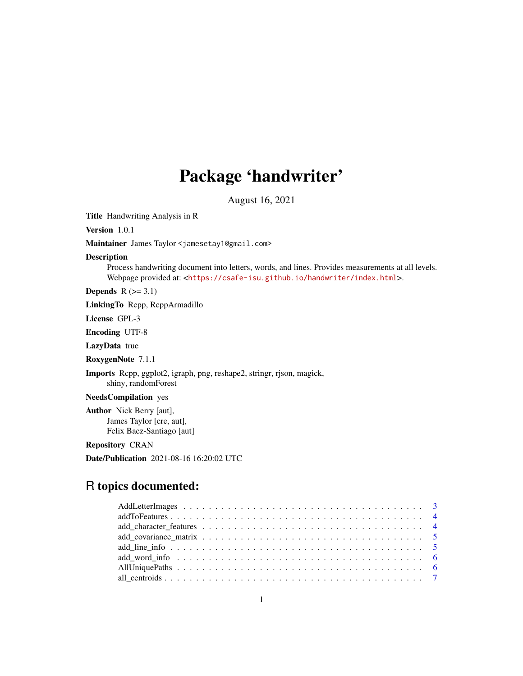## Package 'handwriter'

August 16, 2021

<span id="page-0-0"></span>Title Handwriting Analysis in R

Version 1.0.1

Maintainer James Taylor <jamesetay1@gmail.com>

Description

Process handwriting document into letters, words, and lines. Provides measurements at all levels. Webpage provided at: <<https://csafe-isu.github.io/handwriter/index.html>>.

Depends  $R$  ( $>= 3.1$ )

LinkingTo Rcpp, RcppArmadillo

License GPL-3

Encoding UTF-8

LazyData true

RoxygenNote 7.1.1

Imports Rcpp, ggplot2, igraph, png, reshape2, stringr, rjson, magick, shiny, randomForest

NeedsCompilation yes

Author Nick Berry [aut], James Taylor [cre, aut], Felix Baez-Santiago [aut]

Repository CRAN

Date/Publication 2021-08-16 16:20:02 UTC

## R topics documented: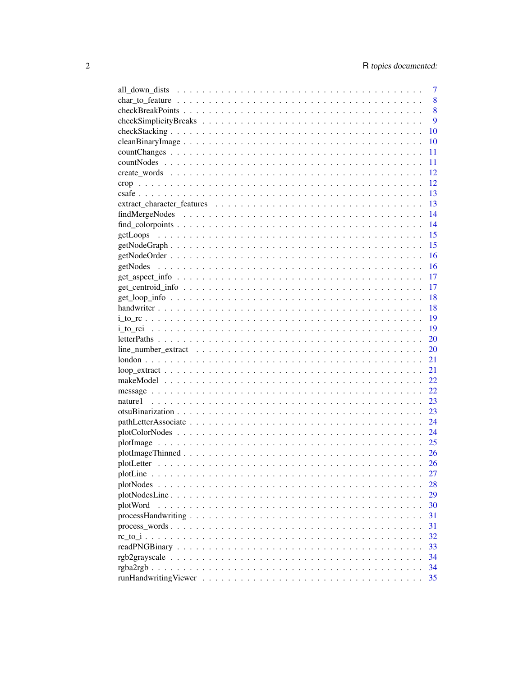|                                                                                                                       | 7    |
|-----------------------------------------------------------------------------------------------------------------------|------|
|                                                                                                                       | 8    |
|                                                                                                                       | 8    |
|                                                                                                                       | 9    |
|                                                                                                                       | 10   |
|                                                                                                                       | 10   |
|                                                                                                                       | 11   |
|                                                                                                                       | 11   |
|                                                                                                                       | 12   |
|                                                                                                                       | 12   |
|                                                                                                                       | 13   |
|                                                                                                                       | 13   |
|                                                                                                                       | 14   |
|                                                                                                                       | 14   |
| getLoops                                                                                                              | 15   |
|                                                                                                                       | 15   |
|                                                                                                                       | 16   |
| getNodes                                                                                                              | 16   |
|                                                                                                                       | 17   |
|                                                                                                                       | 17   |
|                                                                                                                       | 18   |
|                                                                                                                       |      |
|                                                                                                                       | -18  |
|                                                                                                                       | - 19 |
|                                                                                                                       | -19  |
|                                                                                                                       | 20   |
|                                                                                                                       | 20   |
|                                                                                                                       | 21   |
| $loop\_extract \dots \dots \dots \dots \dots \dots \dots \dots \dots \dots \dots \dots \dots \dots \dots \dots \dots$ | 21   |
|                                                                                                                       | 22   |
|                                                                                                                       | 22   |
|                                                                                                                       |      |
|                                                                                                                       |      |
|                                                                                                                       |      |
|                                                                                                                       | 24   |
|                                                                                                                       | 25   |
|                                                                                                                       | 26   |
|                                                                                                                       | 26   |
|                                                                                                                       | 27   |
| $plotNodes \dots \dots \dots \dots \dots \dots \dots \dots \dots \dots \dots \dots \dots \dots \dots \dots$           | 28   |
|                                                                                                                       | 29   |
| plotWord                                                                                                              | 30   |
|                                                                                                                       | 31   |
|                                                                                                                       | 31   |
|                                                                                                                       | 32   |
|                                                                                                                       | 33   |
|                                                                                                                       | 34   |
|                                                                                                                       | 34   |
|                                                                                                                       | 35   |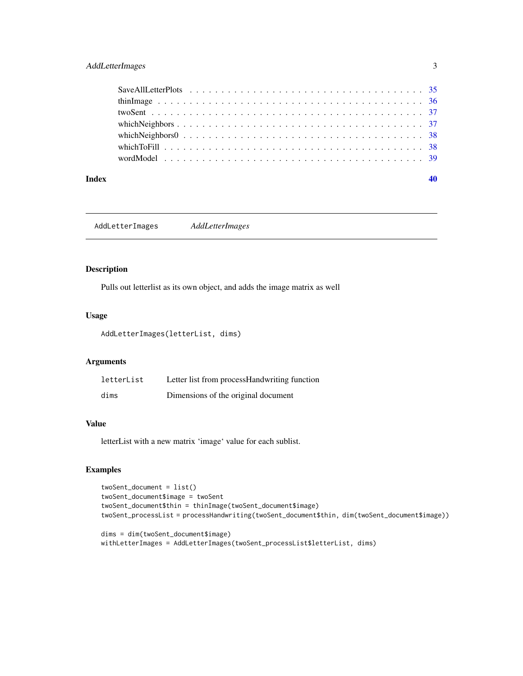### <span id="page-2-0"></span>AddLetterImages 3

#### $\blacksquare$

AddLetterImages *AddLetterImages*

#### Description

Pulls out letterlist as its own object, and adds the image matrix as well

#### Usage

AddLetterImages(letterList, dims)

### Arguments

| letterList | Letter list from processHandwriting function |
|------------|----------------------------------------------|
| dims       | Dimensions of the original document          |

#### Value

letterList with a new matrix 'image' value for each sublist.

### Examples

```
twoSent_document = list()
twoSent_document$image = twoSent
twoSent_document$thin = thinImage(twoSent_document$image)
twoSent_processList = processHandwriting(twoSent_document$thin, dim(twoSent_document$image))
```

```
dims = dim(twoSent_document$image)
withLetterImages = AddLetterImages(twoSent_processList$letterList, dims)
```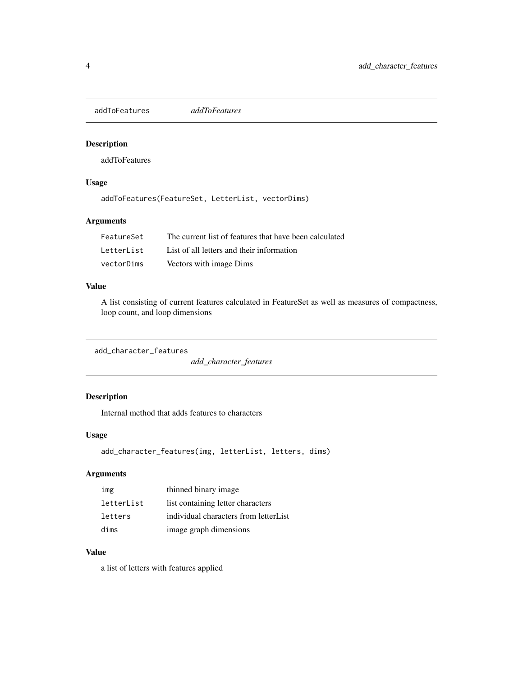<span id="page-3-0"></span>addToFeatures *addToFeatures*

#### Description

addToFeatures

### Usage

addToFeatures(FeatureSet, LetterList, vectorDims)

### Arguments

| FeatureSet | The current list of features that have been calculated |
|------------|--------------------------------------------------------|
| LetterList | List of all letters and their information              |
| vectorDims | Vectors with image Dims                                |

#### Value

A list consisting of current features calculated in FeatureSet as well as measures of compactness, loop count, and loop dimensions

```
add_character_features
```
*add\_character\_features*

### Description

Internal method that adds features to characters

#### Usage

add\_character\_features(img, letterList, letters, dims)

### Arguments

| img        | thinned binary image                  |
|------------|---------------------------------------|
| letterList | list containing letter characters     |
| letters    | individual characters from letterList |
| dims       | image graph dimensions                |

#### Value

a list of letters with features applied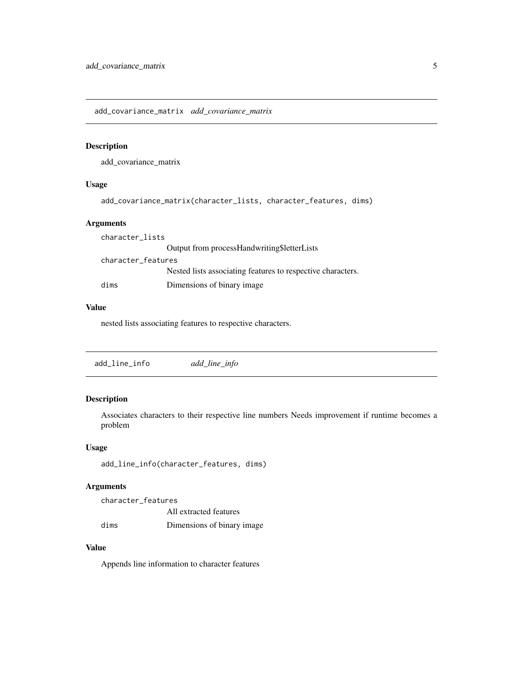<span id="page-4-0"></span>add\_covariance\_matrix *add\_covariance\_matrix*

#### Description

add\_covariance\_matrix

#### Usage

```
add_covariance_matrix(character_lists, character_features, dims)
```
### Arguments

| character_lists    |                                                             |
|--------------------|-------------------------------------------------------------|
|                    | Output from processHandwriting\$letterLists                 |
| character_features |                                                             |
|                    | Nested lists associating features to respective characters. |
| dims               | Dimensions of binary image.                                 |

#### Value

nested lists associating features to respective characters.

add\_line\_info *add\_line\_info*

### Description

Associates characters to their respective line numbers Needs improvement if runtime becomes a problem

#### Usage

add\_line\_info(character\_features, dims)

#### Arguments

character\_features All extracted features dims Dimensions of binary image

### Value

Appends line information to character features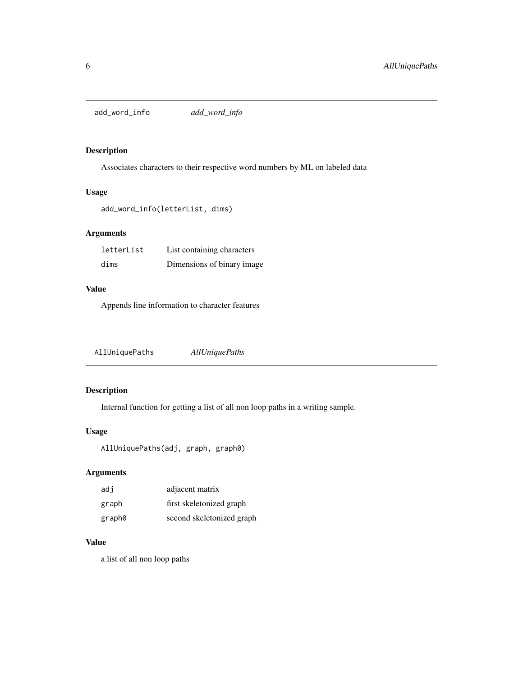<span id="page-5-0"></span>add\_word\_info *add\_word\_info*

#### Description

Associates characters to their respective word numbers by ML on labeled data

### Usage

```
add_word_info(letterList, dims)
```
### Arguments

| letterList | List containing characters |
|------------|----------------------------|
| dims       | Dimensions of binary image |

#### Value

Appends line information to character features

| AllUniquePaths | <b>AllUniquePaths</b> |  |  |
|----------------|-----------------------|--|--|
|----------------|-----------------------|--|--|

### Description

Internal function for getting a list of all non loop paths in a writing sample.

### Usage

```
AllUniquePaths(adj, graph, graph0)
```
### Arguments

| adi    | adjacent matrix           |
|--------|---------------------------|
| graph  | first skeletonized graph  |
| graph0 | second skeletonized graph |

#### Value

a list of all non loop paths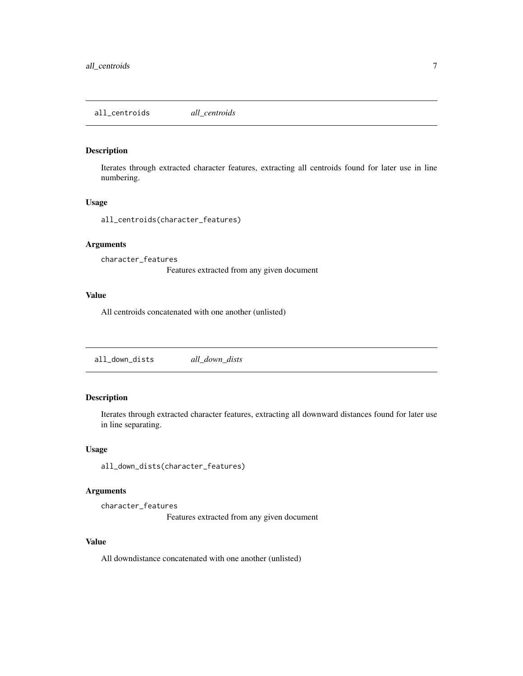<span id="page-6-0"></span>all\_centroids *all\_centroids*

#### Description

Iterates through extracted character features, extracting all centroids found for later use in line numbering.

#### Usage

all\_centroids(character\_features)

### Arguments

character\_features

Features extracted from any given document

#### Value

All centroids concatenated with one another (unlisted)

all\_down\_dists *all\_down\_dists*

### Description

Iterates through extracted character features, extracting all downward distances found for later use in line separating.

#### Usage

all\_down\_dists(character\_features)

#### Arguments

character\_features

Features extracted from any given document

#### Value

All downdistance concatenated with one another (unlisted)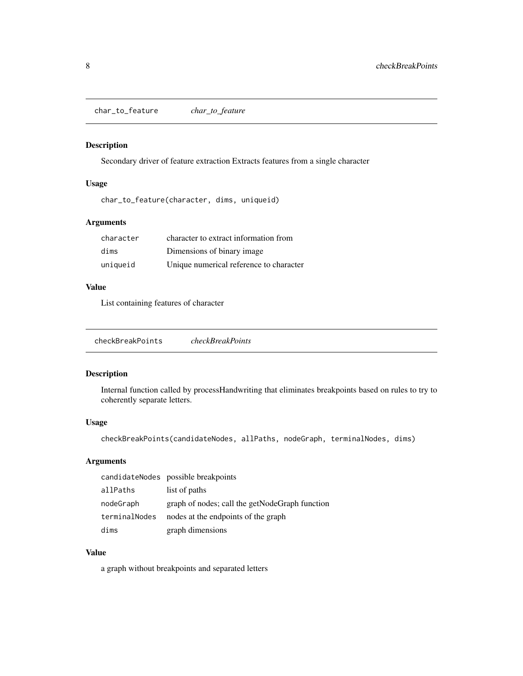<span id="page-7-0"></span>char\_to\_feature *char\_to\_feature*

### Description

Secondary driver of feature extraction Extracts features from a single character

### Usage

char\_to\_feature(character, dims, uniqueid)

### Arguments

| character | character to extract information from   |
|-----------|-----------------------------------------|
| dims      | Dimensions of binary image.             |
| uniqueid  | Unique numerical reference to character |

### Value

List containing features of character

checkBreakPoints *checkBreakPoints*

#### Description

Internal function called by processHandwriting that eliminates breakpoints based on rules to try to coherently separate letters.

### Usage

checkBreakPoints(candidateNodes, allPaths, nodeGraph, terminalNodes, dims)

### Arguments

|               | candidateNodes possible breakpoints            |
|---------------|------------------------------------------------|
| allPaths      | list of paths                                  |
| nodeGraph     | graph of nodes; call the getNodeGraph function |
| terminalNodes | nodes at the endpoints of the graph            |
| dims          | graph dimensions                               |

#### Value

a graph without breakpoints and separated letters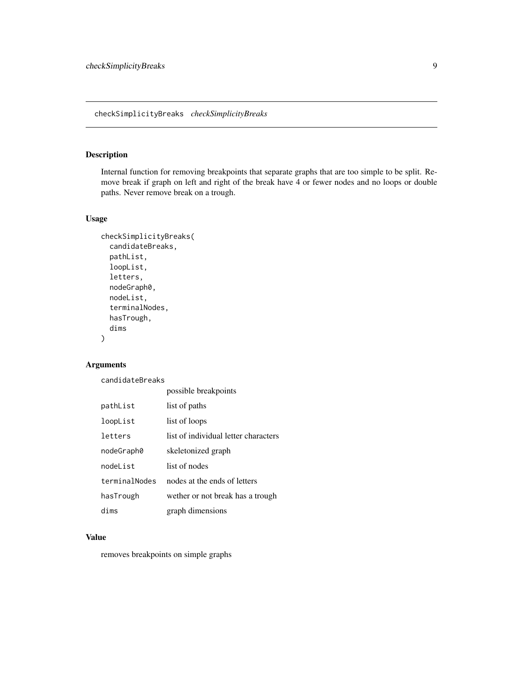### <span id="page-8-0"></span>checkSimplicityBreaks *checkSimplicityBreaks*

### Description

Internal function for removing breakpoints that separate graphs that are too simple to be split. Remove break if graph on left and right of the break have 4 or fewer nodes and no loops or double paths. Never remove break on a trough.

### Usage

```
checkSimplicityBreaks(
 candidateBreaks,
  pathList,
 loopList,
  letters,
  nodeGraph0,
  nodeList,
  terminalNodes,
  hasTrough,
  dims
)
```
#### Arguments

candidateBreaks

|               | possible breakpoints                 |
|---------------|--------------------------------------|
| pathList      | list of paths                        |
| loopList      | list of loops                        |
| letters       | list of individual letter characters |
| nodeGraph0    | skeletonized graph                   |
| nodel ist     | list of nodes                        |
| terminalNodes | nodes at the ends of letters         |
| hasTrough     | wether or not break has a trough     |
| dims          | graph dimensions                     |

#### Value

removes breakpoints on simple graphs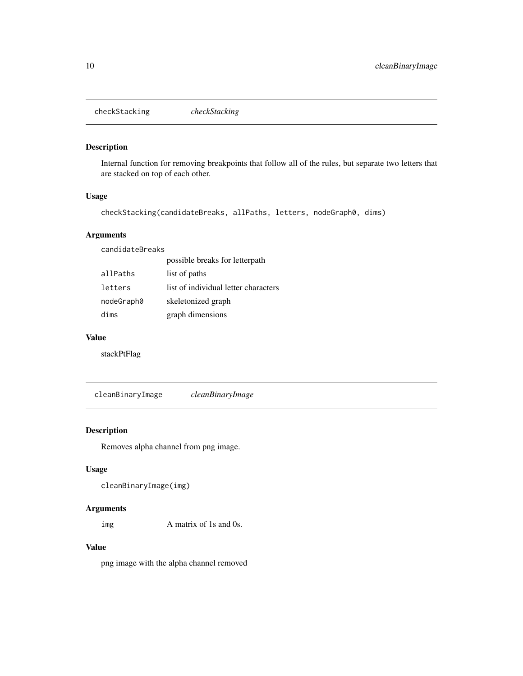<span id="page-9-0"></span>checkStacking *checkStacking*

### Description

Internal function for removing breakpoints that follow all of the rules, but separate two letters that are stacked on top of each other.

### Usage

```
checkStacking(candidateBreaks, allPaths, letters, nodeGraph0, dims)
```
#### Arguments

candidateBreaks

|            | possible breaks for letterpath       |
|------------|--------------------------------------|
| allPaths   | list of paths                        |
| letters    | list of individual letter characters |
| nodeGraph0 | skeletonized graph                   |
| dims       | graph dimensions                     |

#### Value

stackPtFlag

cleanBinaryImage *cleanBinaryImage*

#### Description

Removes alpha channel from png image.

### Usage

```
cleanBinaryImage(img)
```
#### Arguments

img A matrix of 1s and 0s.

#### Value

png image with the alpha channel removed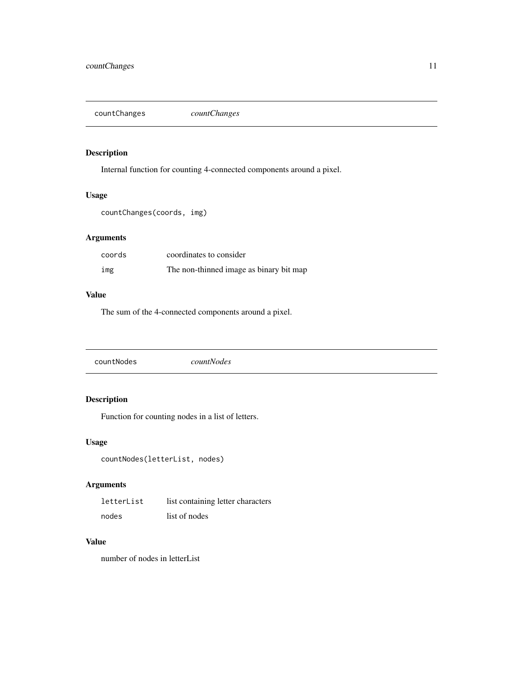<span id="page-10-0"></span>countChanges *countChanges*

### Description

Internal function for counting 4-connected components around a pixel.

### Usage

countChanges(coords, img)

### Arguments

| coords | coordinates to consider                 |
|--------|-----------------------------------------|
| img    | The non-thinned image as binary bit map |

#### Value

The sum of the 4-connected components around a pixel.

countNodes *countNodes*

### Description

Function for counting nodes in a list of letters.

#### Usage

```
countNodes(letterList, nodes)
```
### Arguments

| letterList | list containing letter characters |
|------------|-----------------------------------|
| nodes      | list of nodes                     |

### Value

number of nodes in letterList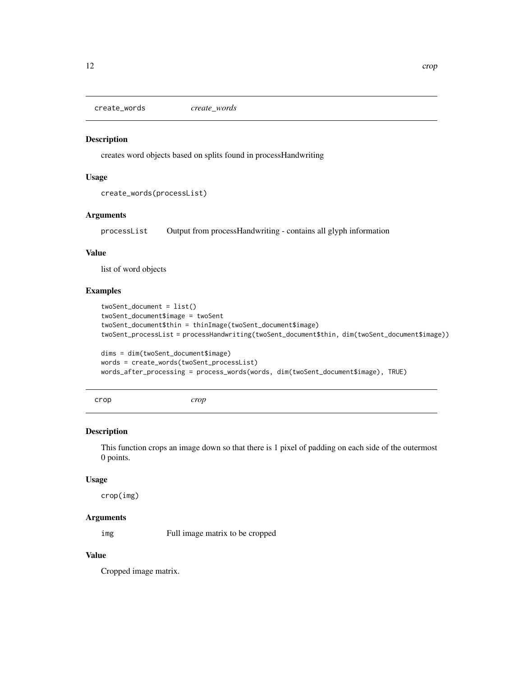<span id="page-11-0"></span>create\_words *create\_words*

#### Description

creates word objects based on splits found in processHandwriting

#### Usage

```
create_words(processList)
```
#### **Arguments**

processList Output from processHandwriting - contains all glyph information

### Value

list of word objects

### Examples

```
twoSent_document = list()
twoSent_document$image = twoSent
twoSent_document$thin = thinImage(twoSent_document$image)
twoSent_processList = processHandwriting(twoSent_document$thin, dim(twoSent_document$image))
```

```
dims = dim(twoSent_document$image)
words = create_words(twoSent_processList)
words_after_processing = process_words(words, dim(twoSent_document$image), TRUE)
```
crop *crop*

#### Description

This function crops an image down so that there is 1 pixel of padding on each side of the outermost 0 points.

#### Usage

crop(img)

#### Arguments

img Full image matrix to be cropped

### Value

Cropped image matrix.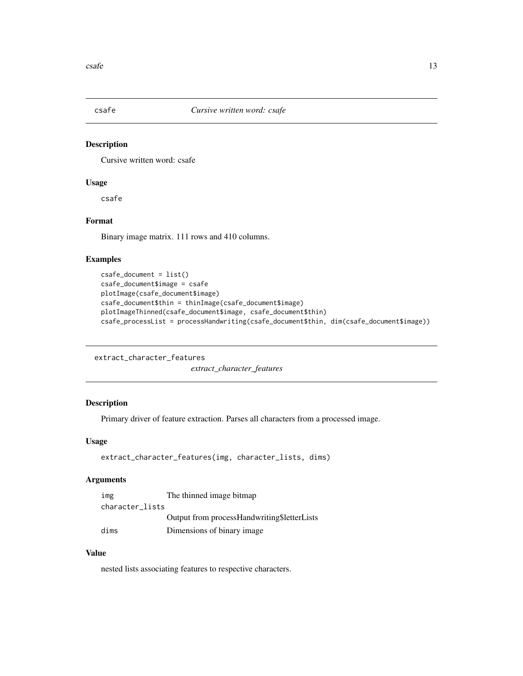<span id="page-12-0"></span>

#### Description

Cursive written word: csafe

### Usage

csafe

### Format

Binary image matrix. 111 rows and 410 columns.

### Examples

```
csafe_document = list()
csafe_document$image = csafe
plotImage(csafe_document$image)
csafe_document$thin = thinImage(csafe_document$image)
plotImageThinned(csafe_document$image, csafe_document$thin)
csafe_processList = processHandwriting(csafe_document$thin, dim(csafe_document$image))
```

```
extract_character_features
```
*extract\_character\_features*

#### Description

Primary driver of feature extraction. Parses all characters from a processed image.

#### Usage

```
extract_character_features(img, character_lists, dims)
```
### Arguments

| img             | The thinned image bitmap                    |
|-----------------|---------------------------------------------|
| character_lists |                                             |
|                 | Output from processHandwriting\$letterLists |
| dims            | Dimensions of binary image                  |

### Value

nested lists associating features to respective characters.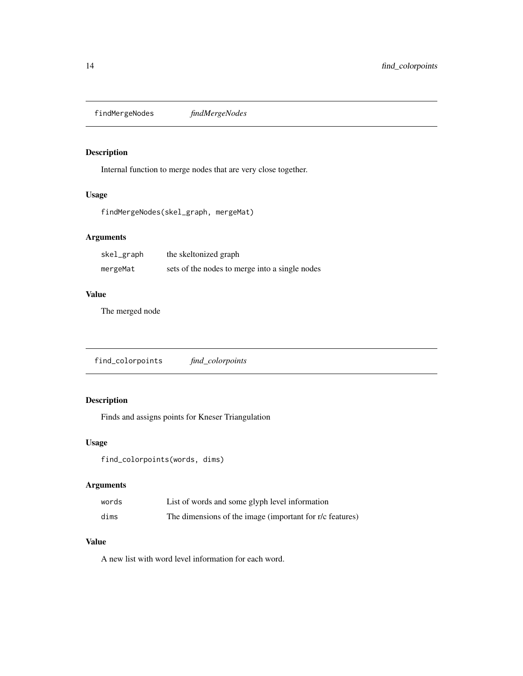<span id="page-13-0"></span>findMergeNodes *findMergeNodes*

### Description

Internal function to merge nodes that are very close together.

### Usage

findMergeNodes(skel\_graph, mergeMat)

### Arguments

| skel_graph | the skeltonized graph                          |
|------------|------------------------------------------------|
| mergeMat   | sets of the nodes to merge into a single nodes |

### Value

The merged node

find\_colorpoints *find\_colorpoints*

### Description

Finds and assigns points for Kneser Triangulation

#### Usage

find\_colorpoints(words, dims)

### Arguments

| words | List of words and some glyph level information           |
|-------|----------------------------------------------------------|
| dims  | The dimensions of the image (important for r/c features) |

### Value

A new list with word level information for each word.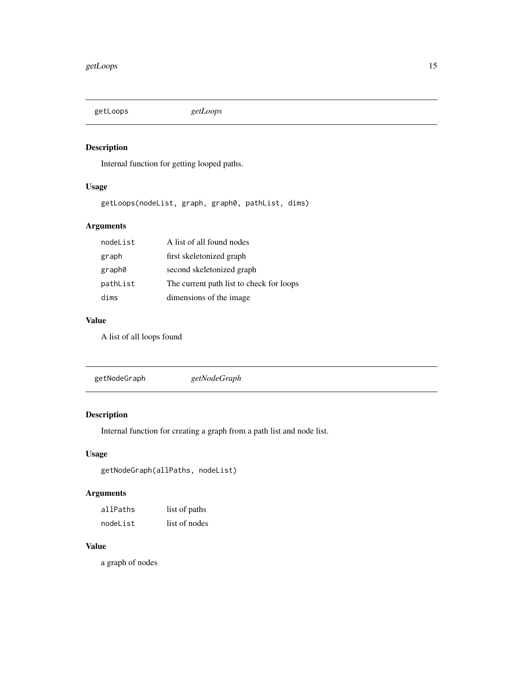<span id="page-14-0"></span>getLoops *getLoops*

### Description

Internal function for getting looped paths.

### Usage

getLoops(nodeList, graph, graph0, pathList, dims)

### Arguments

| nodeList | A list of all found nodes                |
|----------|------------------------------------------|
| graph    | first skeletonized graph                 |
| graph0   | second skeletonized graph                |
| pathList | The current path list to check for loops |
| dims     | dimensions of the image                  |

### Value

A list of all loops found

getNodeGraph *getNodeGraph*

### Description

Internal function for creating a graph from a path list and node list.

### Usage

```
getNodeGraph(allPaths, nodeList)
```
### Arguments

| allPaths | list of paths |
|----------|---------------|
| nodeList | list of nodes |

### Value

a graph of nodes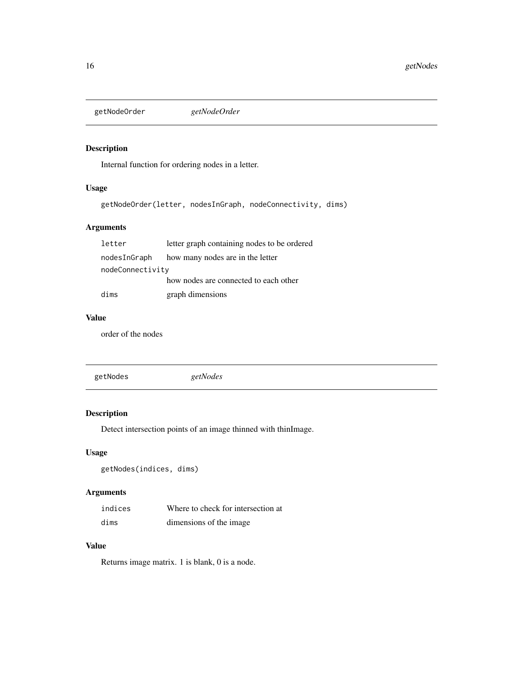<span id="page-15-0"></span>getNodeOrder *getNodeOrder*

### Description

Internal function for ordering nodes in a letter.

### Usage

getNodeOrder(letter, nodesInGraph, nodeConnectivity, dims)

### Arguments

| letter           | letter graph containing nodes to be ordered |
|------------------|---------------------------------------------|
| nodesInGraph     | how many nodes are in the letter            |
| nodeConnectivity |                                             |
|                  | how nodes are connected to each other       |
| dims             | graph dimensions                            |

#### Value

order of the nodes

getNodes *getNodes*

### Description

Detect intersection points of an image thinned with thinImage.

### Usage

getNodes(indices, dims)

### Arguments

| indices | Where to check for intersection at |
|---------|------------------------------------|
| dims    | dimensions of the image.           |

### Value

Returns image matrix. 1 is blank, 0 is a node.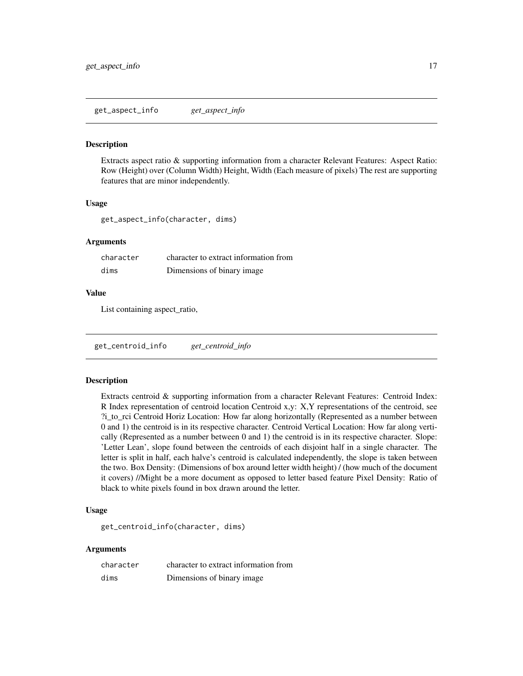<span id="page-16-0"></span>get\_aspect\_info *get\_aspect\_info*

#### Description

Extracts aspect ratio & supporting information from a character Relevant Features: Aspect Ratio: Row (Height) over (Column Width) Height, Width (Each measure of pixels) The rest are supporting features that are minor independently.

#### Usage

get\_aspect\_info(character, dims)

#### Arguments

| character | character to extract information from |
|-----------|---------------------------------------|
| dims      | Dimensions of binary image.           |

#### Value

List containing aspect\_ratio,

get\_centroid\_info *get\_centroid\_info*

#### Description

Extracts centroid & supporting information from a character Relevant Features: Centroid Index: R Index representation of centroid location Centroid x,y: X,Y representations of the centroid, see ?i\_to\_rci Centroid Horiz Location: How far along horizontally (Represented as a number between 0 and 1) the centroid is in its respective character. Centroid Vertical Location: How far along vertically (Represented as a number between 0 and 1) the centroid is in its respective character. Slope: 'Letter Lean', slope found between the centroids of each disjoint half in a single character. The letter is split in half, each halve's centroid is calculated independently, the slope is taken between the two. Box Density: (Dimensions of box around letter width height) / (how much of the document it covers) //Might be a more document as opposed to letter based feature Pixel Density: Ratio of black to white pixels found in box drawn around the letter.

### Usage

get\_centroid\_info(character, dims)

#### Arguments

| character | character to extract information from |
|-----------|---------------------------------------|
| dims      | Dimensions of binary image            |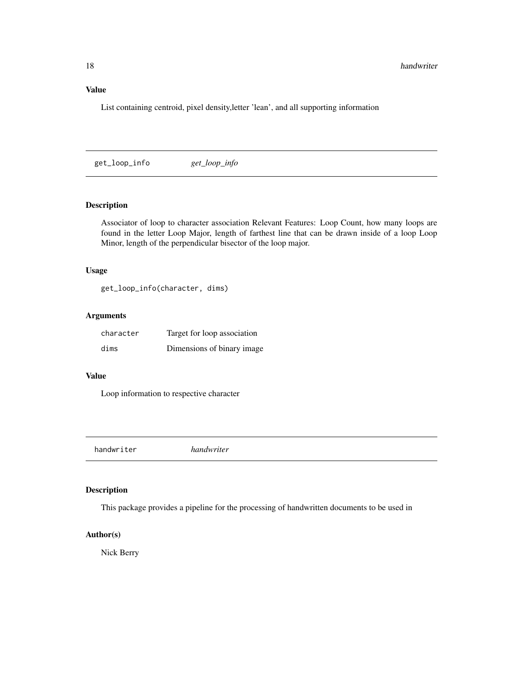### <span id="page-17-0"></span>Value

List containing centroid, pixel density,letter 'lean', and all supporting information

get\_loop\_info *get\_loop\_info*

### Description

Associator of loop to character association Relevant Features: Loop Count, how many loops are found in the letter Loop Major, length of farthest line that can be drawn inside of a loop Loop Minor, length of the perpendicular bisector of the loop major.

#### Usage

get\_loop\_info(character, dims)

### Arguments

| character | Target for loop association |
|-----------|-----------------------------|
| dims      | Dimensions of binary image  |

### Value

Loop information to respective character

handwriter *handwriter*

#### Description

This package provides a pipeline for the processing of handwritten documents to be used in

### Author(s)

Nick Berry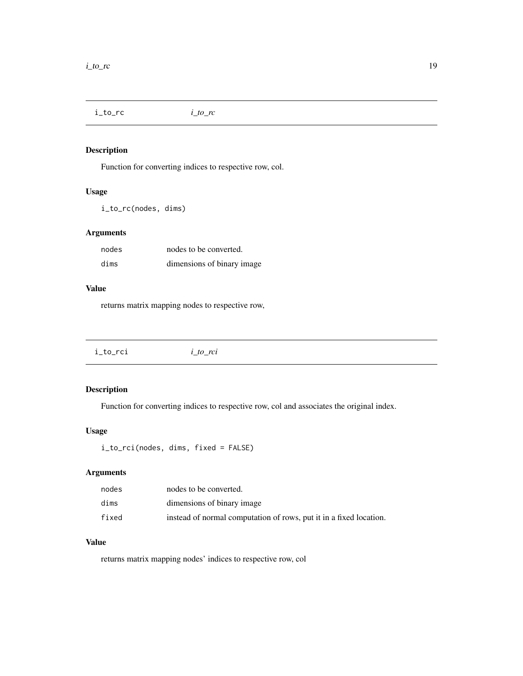<span id="page-18-0"></span>i\_to\_rc *i\_to\_rc*

### Description

Function for converting indices to respective row, col.

### Usage

i\_to\_rc(nodes, dims)

### Arguments

| nodes | nodes to be converted.      |
|-------|-----------------------------|
| dims  | dimensions of binary image. |

#### Value

returns matrix mapping nodes to respective row,

### Description

Function for converting indices to respective row, col and associates the original index.

### Usage

```
i_to_rci(nodes, dims, fixed = FALSE)
```
### Arguments

| nodes | nodes to be converted.                                             |
|-------|--------------------------------------------------------------------|
| dims  | dimensions of binary image                                         |
| fixed | instead of normal computation of rows, put it in a fixed location. |

### Value

returns matrix mapping nodes' indices to respective row, col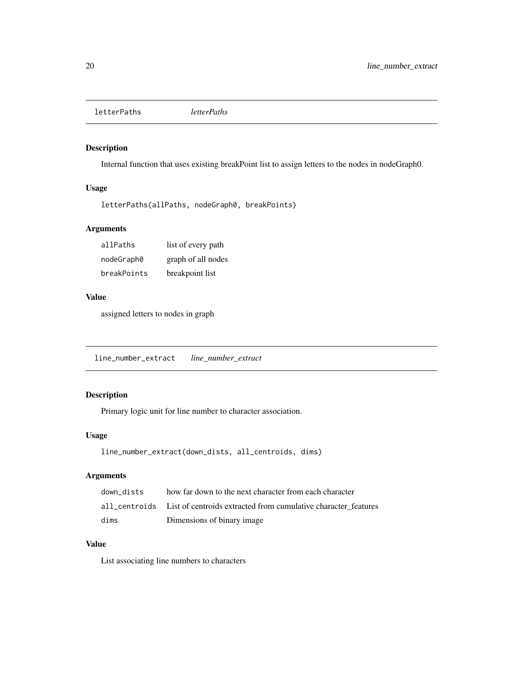<span id="page-19-0"></span>letterPaths *letterPaths*

### Description

Internal function that uses existing breakPoint list to assign letters to the nodes in nodeGraph0.

### Usage

```
letterPaths(allPaths, nodeGraph0, breakPoints)
```
### Arguments

| allPaths    | list of every path |
|-------------|--------------------|
| nodeGraph0  | graph of all nodes |
| breakPoints | breakpoint list    |

#### Value

assigned letters to nodes in graph

line\_number\_extract *line\_number\_extract*

### Description

Primary logic unit for line number to character association.

#### Usage

```
line_number_extract(down_dists, all_centroids, dims)
```
### Arguments

| down dists | how far down to the next character from each character                       |
|------------|------------------------------------------------------------------------------|
|            | all centroids List of centroids extracted from cumulative character features |
| dims       | Dimensions of binary image.                                                  |

### Value

List associating line numbers to characters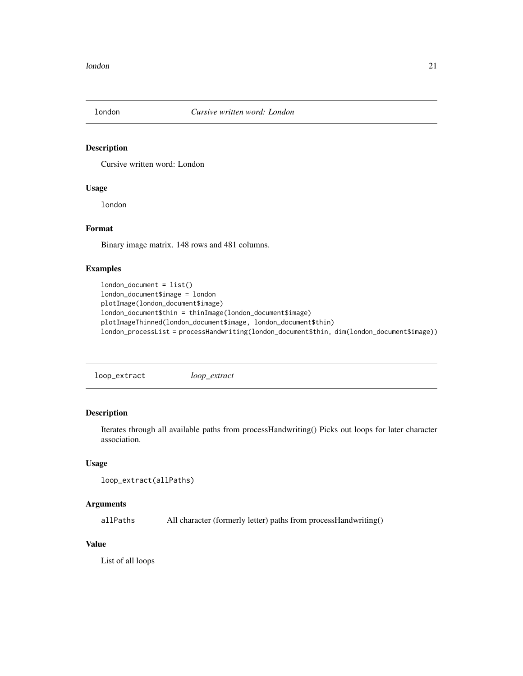<span id="page-20-0"></span>

#### Description

Cursive written word: London

### Usage

london

### Format

Binary image matrix. 148 rows and 481 columns.

#### Examples

```
london_document = list()
london_document$image = london
plotImage(london_document$image)
london_document$thin = thinImage(london_document$image)
plotImageThinned(london_document$image, london_document$thin)
london_processList = processHandwriting(london_document$thin, dim(london_document$image))
```
loop\_extract *loop\_extract*

### Description

Iterates through all available paths from processHandwriting() Picks out loops for later character association.

#### Usage

```
loop_extract(allPaths)
```
#### Arguments

allPaths All character (formerly letter) paths from processHandwriting()

### Value

List of all loops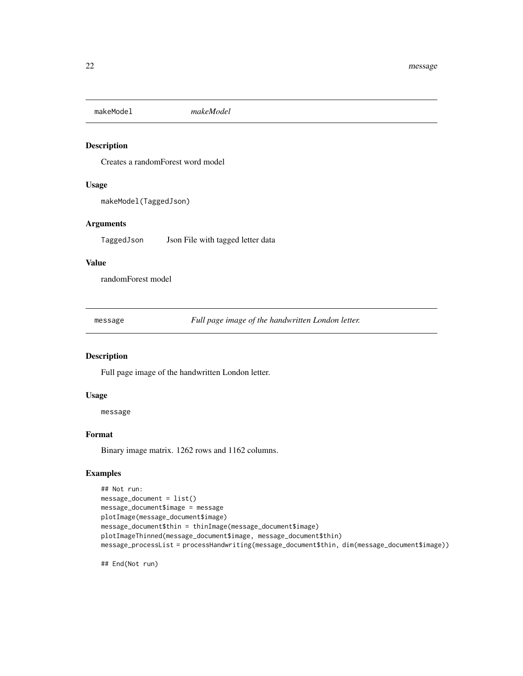<span id="page-21-0"></span>makeModel *makeModel*

#### Description

Creates a randomForest word model

#### Usage

makeModel(TaggedJson)

### Arguments

TaggedJson Json File with tagged letter data

### Value

randomForest model

message *Full page image of the handwritten London letter.*

#### Description

Full page image of the handwritten London letter.

#### Usage

message

#### Format

Binary image matrix. 1262 rows and 1162 columns.

#### Examples

```
## Not run:
message_document = list()
message_document$image = message
plotImage(message_document$image)
message_document$thin = thinImage(message_document$image)
plotImageThinned(message_document$image, message_document$thin)
message_processList = processHandwriting(message_document$thin, dim(message_document$image))
```
## End(Not run)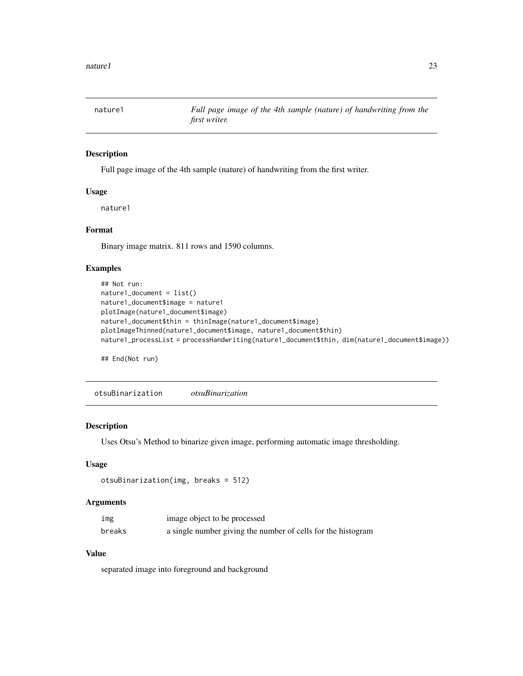<span id="page-22-0"></span>

#### Description

Full page image of the 4th sample (nature) of handwriting from the first writer.

#### Usage

nature1

### Format

Binary image matrix. 811 rows and 1590 columns.

### Examples

```
## Not run:
nature1_document = list()
nature1_document$image = nature1
plotImage(nature1_document$image)
nature1_document$thin = thinImage(nature1_document$image)
plotImageThinned(nature1_document$image, nature1_document$thin)
nature1_processList = processHandwriting(nature1_document$thin, dim(nature1_document$image))
```
## End(Not run)

otsuBinarization *otsuBinarization*

#### Description

Uses Otsu's Method to binarize given image, performing automatic image thresholding.

#### Usage

```
otsuBinarization(img, breaks = 512)
```
#### Arguments

| img    | image object to be processed                                 |
|--------|--------------------------------------------------------------|
| breaks | a single number giving the number of cells for the histogram |

### Value

separated image into foreground and background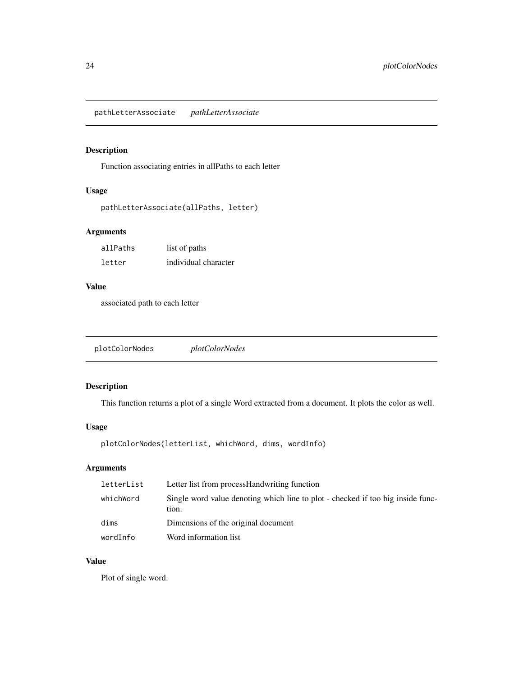<span id="page-23-0"></span>pathLetterAssociate *pathLetterAssociate*

### Description

Function associating entries in allPaths to each letter

#### Usage

```
pathLetterAssociate(allPaths, letter)
```
### Arguments

| allPaths | list of paths        |
|----------|----------------------|
| letter   | individual character |

### Value

associated path to each letter

plotColorNodes *plotColorNodes*

### Description

This function returns a plot of a single Word extracted from a document. It plots the color as well.

#### Usage

```
plotColorNodes(letterList, whichWord, dims, wordInfo)
```
### Arguments

| letterList | Letter list from process Handwriting function                                            |
|------------|------------------------------------------------------------------------------------------|
| whichWord  | Single word value denoting which line to plot - checked if too big inside func-<br>tion. |
| dims       | Dimensions of the original document                                                      |
| wordInfo   | Word information list                                                                    |

#### Value

Plot of single word.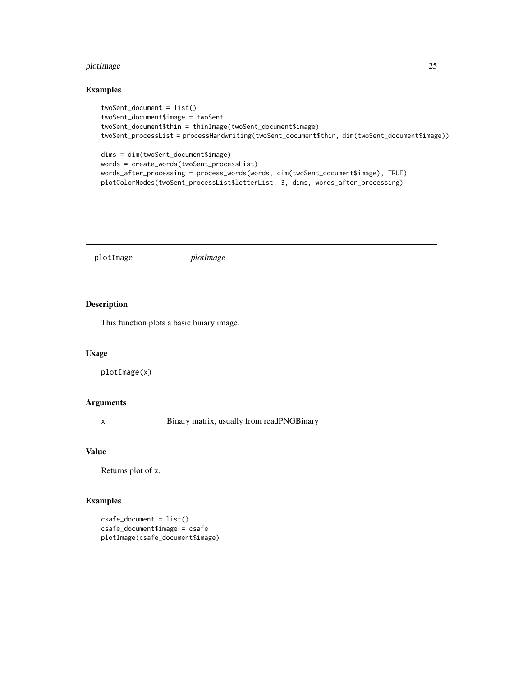#### <span id="page-24-0"></span>plotImage 25

#### Examples

```
twoSent_document = list()
twoSent_document$image = twoSent
twoSent_document$thin = thinImage(twoSent_document$image)
twoSent_processList = processHandwriting(twoSent_document$thin, dim(twoSent_document$image))
dims = dim(twoSent_document$image)
words = create_words(twoSent_processList)
words_after_processing = process_words(words, dim(twoSent_document$image), TRUE)
plotColorNodes(twoSent_processList$letterList, 3, dims, words_after_processing)
```
plotImage *plotImage*

#### Description

This function plots a basic binary image.

#### Usage

```
plotImage(x)
```
#### Arguments

x Binary matrix, usually from readPNGBinary

### Value

Returns plot of x.

### Examples

```
csafe_document = list()
csafe_document$image = csafe
plotImage(csafe_document$image)
```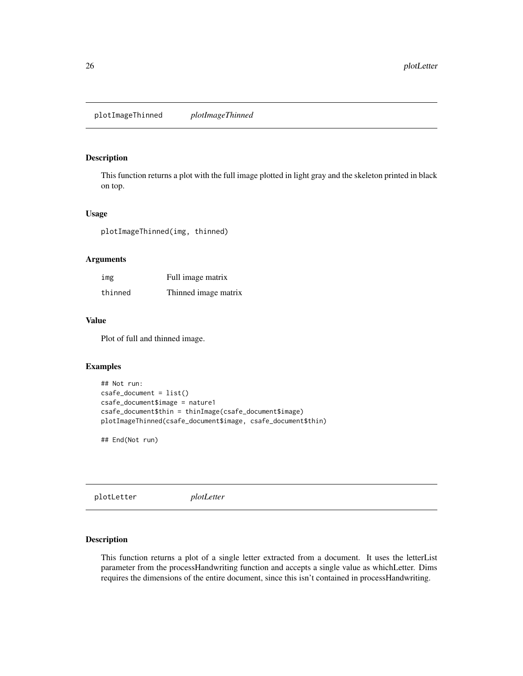<span id="page-25-0"></span>plotImageThinned *plotImageThinned*

#### Description

This function returns a plot with the full image plotted in light gray and the skeleton printed in black on top.

#### Usage

plotImageThinned(img, thinned)

#### Arguments

| img     | Full image matrix    |
|---------|----------------------|
| thinned | Thinned image matrix |

#### Value

Plot of full and thinned image.

#### Examples

```
## Not run:
csafe_document = list()
csafe_document$image = nature1
csafe_document$thin = thinImage(csafe_document$image)
plotImageThinned(csafe_document$image, csafe_document$thin)
```
## End(Not run)

plotLetter *plotLetter*

### Description

This function returns a plot of a single letter extracted from a document. It uses the letterList parameter from the processHandwriting function and accepts a single value as whichLetter. Dims requires the dimensions of the entire document, since this isn't contained in processHandwriting.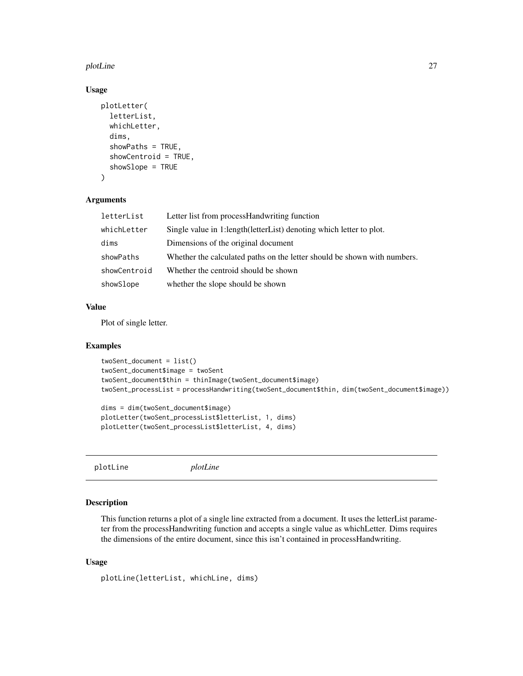#### <span id="page-26-0"></span>plotLine 27

### Usage

```
plotLetter(
  letterList,
  whichLetter,
  dims,
  showPaths = TRUE,
  showCentroid = TRUE,
  showSlope = TRUE
)
```
#### Arguments

| letterList   | Letter list from processHandwriting function                             |
|--------------|--------------------------------------------------------------------------|
| whichLetter  | Single value in 1:length (letter List) denoting which letter to plot.    |
| dims         | Dimensions of the original document                                      |
| showPaths    | Whether the calculated paths on the letter should be shown with numbers. |
| showCentroid | Whether the centroid should be shown                                     |
| showSlope    | whether the slope should be shown                                        |

#### Value

Plot of single letter.

#### Examples

```
twoSent_document = list()
twoSent_document$image = twoSent
twoSent_document$thin = thinImage(twoSent_document$image)
twoSent_processList = processHandwriting(twoSent_document$thin, dim(twoSent_document$image))
```

```
dims = dim(twoSent_document$image)
plotLetter(twoSent_processList$letterList, 1, dims)
plotLetter(twoSent_processList$letterList, 4, dims)
```
plotLine *plotLine*

#### Description

This function returns a plot of a single line extracted from a document. It uses the letterList parameter from the processHandwriting function and accepts a single value as whichLetter. Dims requires the dimensions of the entire document, since this isn't contained in processHandwriting.

#### Usage

```
plotLine(letterList, whichLine, dims)
```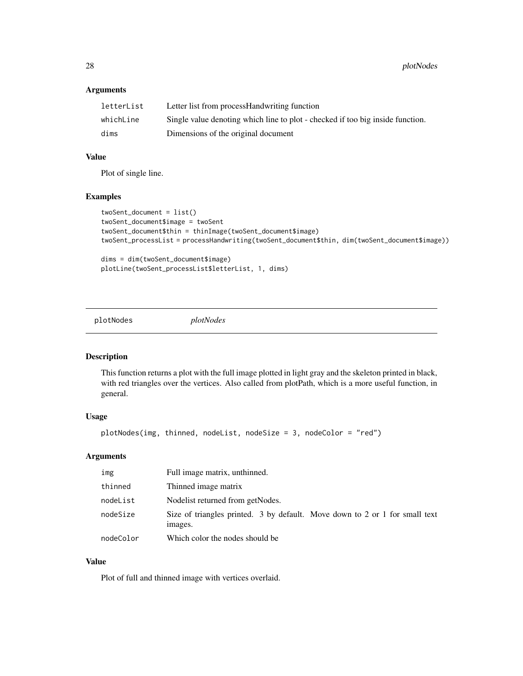#### <span id="page-27-0"></span>Arguments

| letterList | Letter list from process Handwriting function                                  |
|------------|--------------------------------------------------------------------------------|
| whichLine  | Single value denoting which line to plot - checked if too big inside function. |
| dims       | Dimensions of the original document                                            |

#### Value

Plot of single line.

### Examples

```
twoSent_document = list()
twoSent_document$image = twoSent
twoSent_document$thin = thinImage(twoSent_document$image)
twoSent_processList = processHandwriting(twoSent_document$thin, dim(twoSent_document$image))
dims = dim(twoSent_document$image)
```
plotLine(twoSent\_processList\$letterList, 1, dims)

plotNodes *plotNodes*

#### Description

This function returns a plot with the full image plotted in light gray and the skeleton printed in black, with red triangles over the vertices. Also called from plotPath, which is a more useful function, in general.

#### Usage

```
plotNodes(img, thinned, nodeList, nodeSize = 3, nodeColor = "red")
```
#### Arguments

| img       | Full image matrix, unthinned.                                                          |
|-----------|----------------------------------------------------------------------------------------|
| thinned   | Thinned image matrix                                                                   |
| nodeList  | Nodelist returned from getNodes.                                                       |
| nodeSize  | Size of triangles printed. 3 by default. Move down to 2 or 1 for small text<br>images. |
| nodeColor | Which color the nodes should be                                                        |

#### Value

Plot of full and thinned image with vertices overlaid.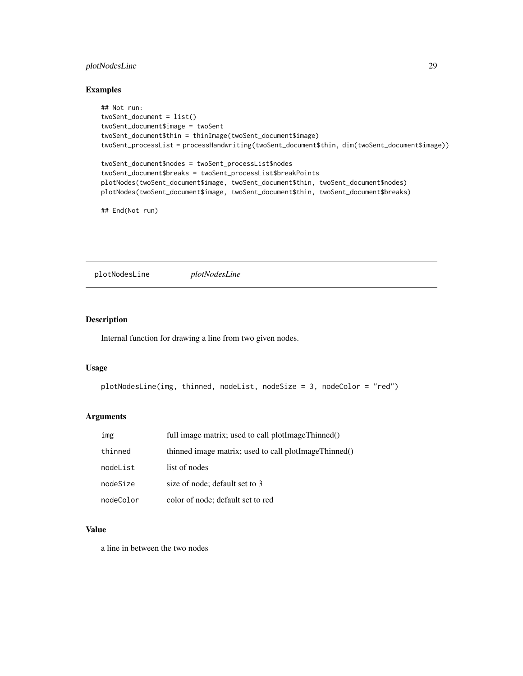### <span id="page-28-0"></span>plotNodesLine 29

#### Examples

```
## Not run:
twoSent_document = list()
twoSent_document$image = twoSent
twoSent_document$thin = thinImage(twoSent_document$image)
twoSent_processList = processHandwriting(twoSent_document$thin, dim(twoSent_document$image))
twoSent_document$nodes = twoSent_processList$nodes
twoSent_document$breaks = twoSent_processList$breakPoints
plotNodes(twoSent_document$image, twoSent_document$thin, twoSent_document$nodes)
plotNodes(twoSent_document$image, twoSent_document$thin, twoSent_document$breaks)
```
## End(Not run)

plotNodesLine *plotNodesLine*

#### Description

Internal function for drawing a line from two given nodes.

#### Usage

```
plotNodesLine(img, thinned, nodeList, nodeSize = 3, nodeColor = "red")
```
#### Arguments

| img       | full image matrix; used to call plotImageThinned()    |
|-----------|-------------------------------------------------------|
| thinned   | thinned image matrix; used to call plotImageThinned() |
| nodeList  | list of nodes                                         |
| nodeSize  | size of node; default set to 3                        |
| nodeColor | color of node; default set to red                     |

#### Value

a line in between the two nodes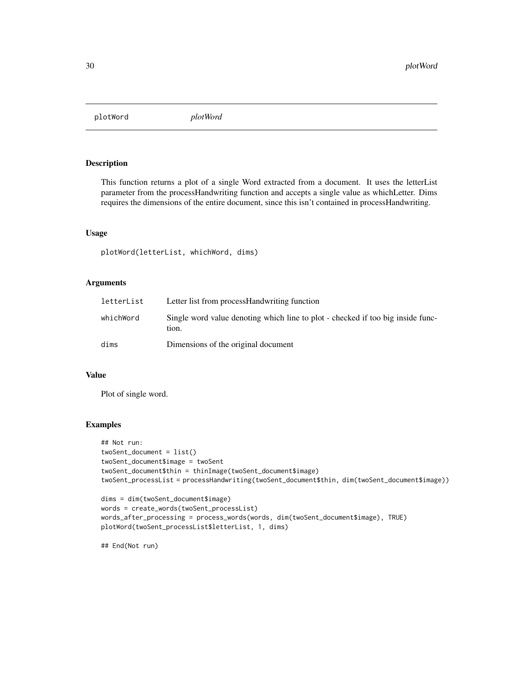<span id="page-29-0"></span>plotWord *plotWord*

### Description

This function returns a plot of a single Word extracted from a document. It uses the letterList parameter from the processHandwriting function and accepts a single value as whichLetter. Dims requires the dimensions of the entire document, since this isn't contained in processHandwriting.

#### Usage

plotWord(letterList, whichWord, dims)

### Arguments

| letterList | Letter list from process Handwriting function                                            |
|------------|------------------------------------------------------------------------------------------|
| whichWord  | Single word value denoting which line to plot - checked if too big inside func-<br>tion. |
| dims       | Dimensions of the original document                                                      |

### Value

Plot of single word.

### Examples

```
## Not run:
twoSent_document = list()
twoSent_document$image = twoSent
twoSent_document$thin = thinImage(twoSent_document$image)
twoSent_processList = processHandwriting(twoSent_document$thin, dim(twoSent_document$image))
dims = dim(twoSent_document$image)
words = create_words(twoSent_processList)
```

```
words_after_processing = process_words(words, dim(twoSent_document$image), TRUE)
plotWord(twoSent_processList$letterList, 1, dims)
```
## End(Not run)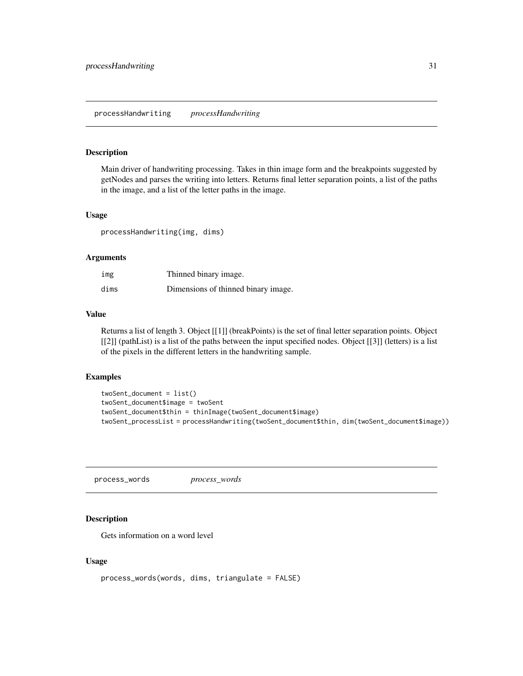#### <span id="page-30-0"></span>Description

Main driver of handwriting processing. Takes in thin image form and the breakpoints suggested by getNodes and parses the writing into letters. Returns final letter separation points, a list of the paths in the image, and a list of the letter paths in the image.

#### Usage

processHandwriting(img, dims)

#### Arguments

| img  | Thinned binary image.               |
|------|-------------------------------------|
| dims | Dimensions of thinned binary image. |

#### Value

Returns a list of length 3. Object [[1]] (breakPoints) is the set of final letter separation points. Object [[2]] (pathList) is a list of the paths between the input specified nodes. Object [[3]] (letters) is a list of the pixels in the different letters in the handwriting sample.

#### Examples

```
twoSent_document = list()
twoSent_document$image = twoSent
twoSent_document$thin = thinImage(twoSent_document$image)
twoSent_processList = processHandwriting(twoSent_document$thin, dim(twoSent_document$image))
```
process\_words *process\_words*

#### Description

Gets information on a word level

#### Usage

```
process_words(words, dims, triangulate = FALSE)
```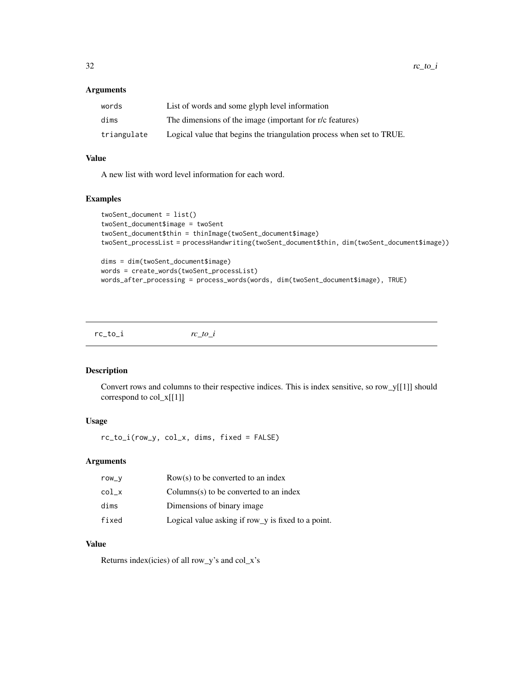#### <span id="page-31-0"></span>Arguments

| words       | List of words and some glyph level information                        |
|-------------|-----------------------------------------------------------------------|
| dims        | The dimensions of the image (important for r/c features)              |
| triangulate | Logical value that begins the triangulation process when set to TRUE. |

### Value

A new list with word level information for each word.

#### Examples

```
twoSent_document = list()
twoSent_document$image = twoSent
twoSent_document$thin = thinImage(twoSent_document$image)
twoSent_processList = processHandwriting(twoSent_document$thin, dim(twoSent_document$image))
dims = dim(twoSent_document$image)
words = create_words(twoSent_processList)
words_after_processing = process_words(words, dim(twoSent_document$image), TRUE)
```
rc\_to\_i *rc\_to\_i*

### Description

Convert rows and columns to their respective indices. This is index sensitive, so row\_y[[1]] should correspond to col\_x[[1]]

#### Usage

rc\_to\_i(row\_y, col\_x, dims, fixed = FALSE)

#### Arguments

| row_v | $Row(s)$ to be converted to an index               |
|-------|----------------------------------------------------|
| col x | $Columns(s)$ to be converted to an index           |
| dims  | Dimensions of binary image                         |
| fixed | Logical value asking if row_y is fixed to a point. |

### Value

Returns index(icies) of all row\_y's and col\_x's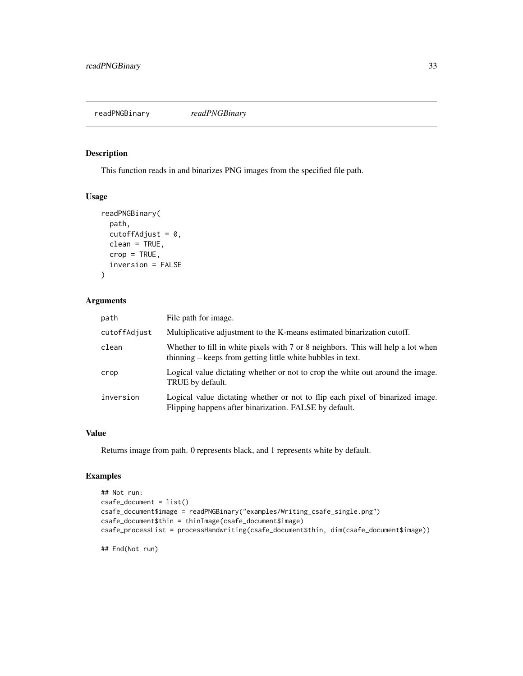<span id="page-32-0"></span>readPNGBinary *readPNGBinary*

### Description

This function reads in and binarizes PNG images from the specified file path.

### Usage

```
readPNGBinary(
 path,
  cutoffAdjust = 0,
 clean = TRUE,
 crop = TRUE,inversion = FALSE
)
```
### Arguments

| path         | File path for image.                                                                                                                            |
|--------------|-------------------------------------------------------------------------------------------------------------------------------------------------|
| cutoffAdjust | Multiplicative adjustment to the K-means estimated binarization cutoff.                                                                         |
| clean        | Whether to fill in white pixels with 7 or 8 neighbors. This will help a lot when<br>thinning – keeps from getting little white bubbles in text. |
| crop         | Logical value dictating whether or not to crop the white out around the image.<br>TRUE by default.                                              |
| inversion    | Logical value dictating whether or not to flip each pixel of binarized image.<br>Flipping happens after binarization. FALSE by default.         |

#### Value

Returns image from path. 0 represents black, and 1 represents white by default.

#### Examples

```
## Not run:
csafe_document = list()
csafe_document$image = readPNGBinary("examples/Writing_csafe_single.png")
csafe_document$thin = thinImage(csafe_document$image)
csafe_processList = processHandwriting(csafe_document$thin, dim(csafe_document$image))
```
## End(Not run)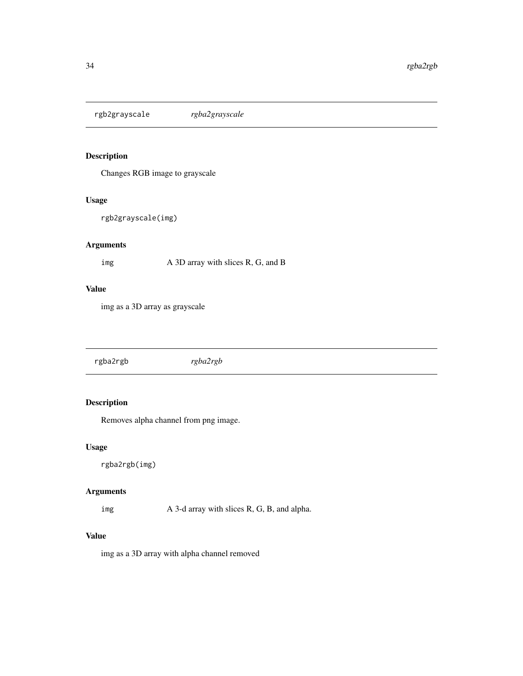<span id="page-33-0"></span>rgb2grayscale *rgba2grayscale*

### Description

Changes RGB image to grayscale

#### Usage

rgb2grayscale(img)

### Arguments

img A 3D array with slices R, G, and B

#### Value

img as a 3D array as grayscale

rgba2rgb *rgba2rgb*

### Description

Removes alpha channel from png image.

#### Usage

rgba2rgb(img)

### Arguments

img A 3-d array with slices R, G, B, and alpha.

### Value

img as a 3D array with alpha channel removed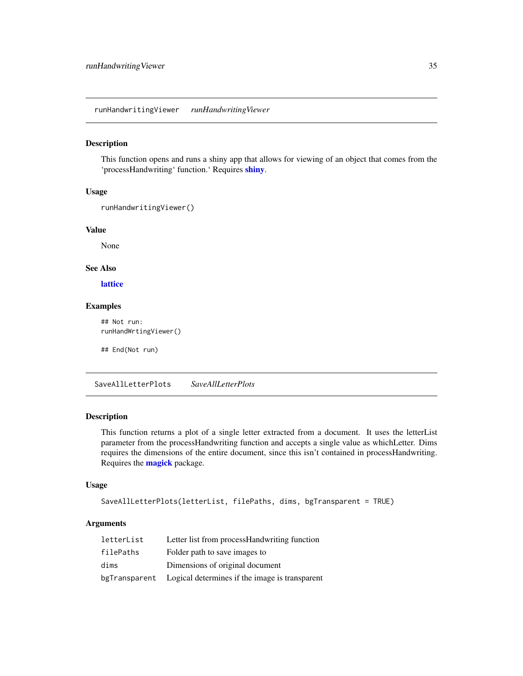<span id="page-34-0"></span>runHandwritingViewer *runHandwritingViewer*

#### Description

This function opens and runs a shiny app that allows for viewing of an object that comes from the 'processHandwriting' function.' Requires [shiny](#page-0-0).

#### Usage

```
runHandwritingViewer()
```
#### Value

None

#### See Also

[lattice](#page-0-0)

### Examples

## Not run: runHandWrtingViewer()

## End(Not run)

SaveAllLetterPlots *SaveAllLetterPlots*

#### Description

This function returns a plot of a single letter extracted from a document. It uses the letterList parameter from the processHandwriting function and accepts a single value as whichLetter. Dims requires the dimensions of the entire document, since this isn't contained in processHandwriting. Requires the **[magick](#page-0-0)** package.

#### Usage

```
SaveAllLetterPlots(letterList, filePaths, dims, bgTransparent = TRUE)
```
#### Arguments

| letterList    | Letter list from process Handwriting function  |
|---------------|------------------------------------------------|
| filePaths     | Folder path to save images to                  |
| dims          | Dimensions of original document                |
| bgTransparent | Logical determines if the image is transparent |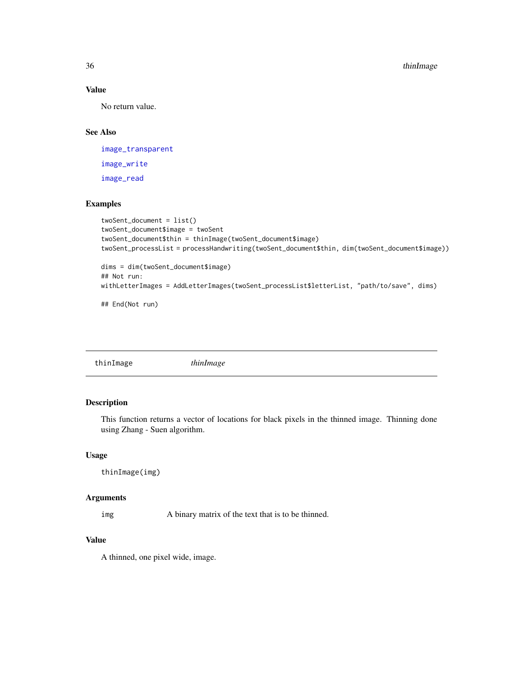### Value

No return value.

### See Also

[image\\_transparent](#page-0-0) [image\\_write](#page-0-0) [image\\_read](#page-0-0)

### Examples

```
twoSent_document = list()
twoSent_document$image = twoSent
twoSent_document$thin = thinImage(twoSent_document$image)
twoSent_processList = processHandwriting(twoSent_document$thin, dim(twoSent_document$image))
dims = dim(twoSent_document$image)
## Not run:
withLetterImages = AddLetterImages(twoSent_processList$letterList, "path/to/save", dims)
## End(Not run)
```
thinImage *thinImage*

### Description

This function returns a vector of locations for black pixels in the thinned image. Thinning done using Zhang - Suen algorithm.

#### Usage

thinImage(img)

#### Arguments

img A binary matrix of the text that is to be thinned.

### Value

A thinned, one pixel wide, image.

<span id="page-35-0"></span>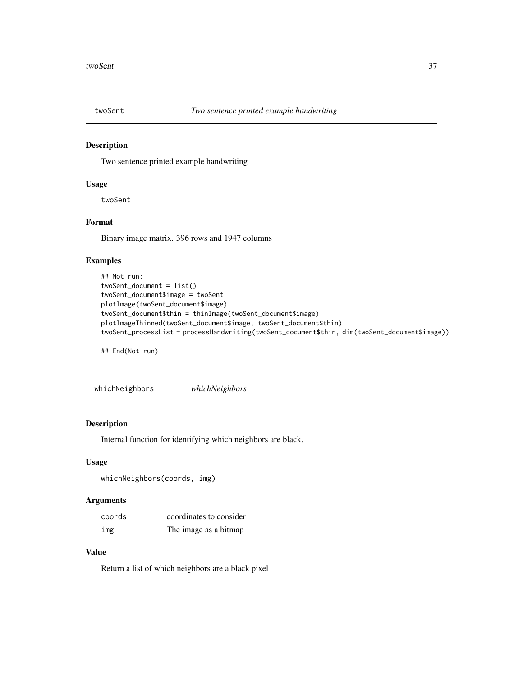<span id="page-36-0"></span>

### Description

Two sentence printed example handwriting

#### Usage

twoSent

### Format

Binary image matrix. 396 rows and 1947 columns

#### Examples

```
## Not run:
twoSent_document = list()
twoSent_document$image = twoSent
plotImage(twoSent_document$image)
twoSent_document$thin = thinImage(twoSent_document$image)
plotImageThinned(twoSent_document$image, twoSent_document$thin)
twoSent_processList = processHandwriting(twoSent_document$thin, dim(twoSent_document$image))
```
## End(Not run)

whichNeighbors *whichNeighbors*

#### Description

Internal function for identifying which neighbors are black.

#### Usage

whichNeighbors(coords, img)

#### Arguments

| coords | coordinates to consider |
|--------|-------------------------|
| img    | The image as a bitmap   |

#### Value

Return a list of which neighbors are a black pixel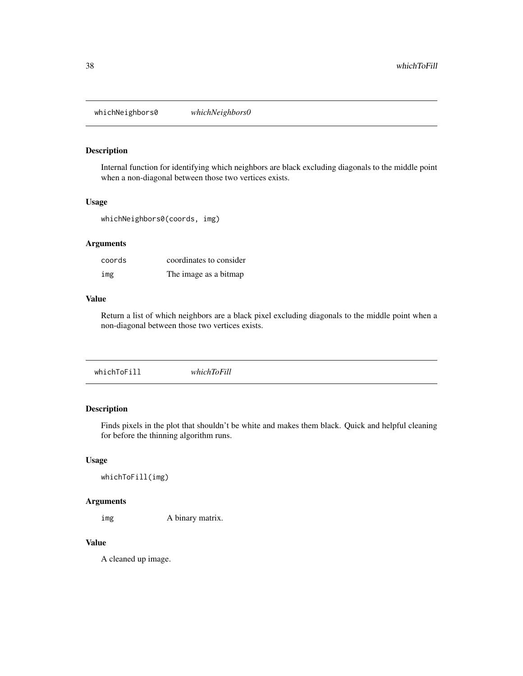<span id="page-37-0"></span>whichNeighbors0 *whichNeighbors0*

#### Description

Internal function for identifying which neighbors are black excluding diagonals to the middle point when a non-diagonal between those two vertices exists.

#### Usage

whichNeighbors0(coords, img)

### Arguments

| coords | coordinates to consider |
|--------|-------------------------|
| img    | The image as a bitmap   |

#### Value

Return a list of which neighbors are a black pixel excluding diagonals to the middle point when a non-diagonal between those two vertices exists.

|--|--|

### Description

Finds pixels in the plot that shouldn't be white and makes them black. Quick and helpful cleaning for before the thinning algorithm runs.

### Usage

```
whichToFill(img)
```
### Arguments

img A binary matrix.

#### Value

A cleaned up image.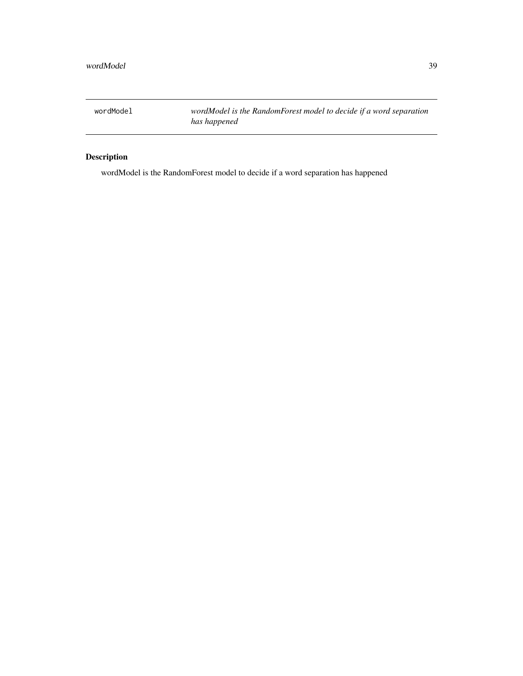<span id="page-38-0"></span>wordModel *wordModel is the RandomForest model to decide if a word separation has happened*

### Description

wordModel is the RandomForest model to decide if a word separation has happened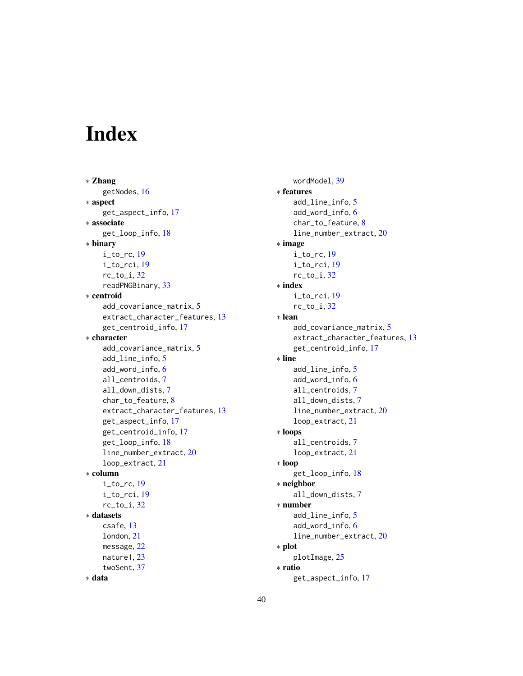# <span id="page-39-0"></span>Index

∗ Zhang getNodes, [16](#page-15-0) ∗ aspect get\_aspect\_info, [17](#page-16-0) ∗ associate get\_loop\_info, [18](#page-17-0) ∗ binary i\_to\_rc, [19](#page-18-0) i\_to\_rci, [19](#page-18-0)  $rc_to_i, 32$  $rc_to_i, 32$ readPNGBinary, [33](#page-32-0) ∗ centroid add\_covariance\_matrix, [5](#page-4-0) extract\_character\_features, [13](#page-12-0) get\_centroid\_info, [17](#page-16-0) ∗ character add\_covariance\_matrix, [5](#page-4-0) add\_line\_info, [5](#page-4-0) add\_word\_info, [6](#page-5-0) all\_centroids, [7](#page-6-0) all\_down\_dists, [7](#page-6-0) char\_to\_feature, [8](#page-7-0) extract\_character\_features, [13](#page-12-0) get\_aspect\_info, [17](#page-16-0) get\_centroid\_info, [17](#page-16-0) get\_loop\_info, [18](#page-17-0) line\_number\_extract, [20](#page-19-0) loop\_extract, [21](#page-20-0) ∗ column  $i_t$  to\_rc, [19](#page-18-0) i\_to\_rci, [19](#page-18-0)  $rc_to_i, 32$  $rc_to_i, 32$ ∗ datasets csafe, [13](#page-12-0) london, [21](#page-20-0) message, [22](#page-21-0) nature1, [23](#page-22-0) twoSent, [37](#page-36-0) ∗ data

wordModel, [39](#page-38-0) ∗ features add\_line\_info, [5](#page-4-0) add\_word\_info, [6](#page-5-0) char\_to\_feature, [8](#page-7-0) line\_number\_extract, [20](#page-19-0) ∗ image i\_to\_rc, [19](#page-18-0) i\_to\_rci, [19](#page-18-0) rc\_to\_i, [32](#page-31-0) ∗ index i\_to\_rci, [19](#page-18-0)  $rc_to_i, 32$  $rc_to_i, 32$ ∗ lean add\_covariance\_matrix, [5](#page-4-0) extract\_character\_features, [13](#page-12-0) get\_centroid\_info, [17](#page-16-0) ∗ line add\_line\_info, [5](#page-4-0) add\_word\_info, [6](#page-5-0) all\_centroids, [7](#page-6-0) all\_down\_dists, [7](#page-6-0) line\_number\_extract, [20](#page-19-0) loop\_extract, [21](#page-20-0) ∗ loops all\_centroids, [7](#page-6-0) loop\_extract, [21](#page-20-0) ∗ loop get\_loop\_info, [18](#page-17-0) ∗ neighbor all\_down\_dists, [7](#page-6-0) ∗ number add\_line\_info, [5](#page-4-0) add\_word\_info, [6](#page-5-0) line\_number\_extract, [20](#page-19-0) ∗ plot plotImage, [25](#page-24-0) ∗ ratio get\_aspect\_info, [17](#page-16-0)